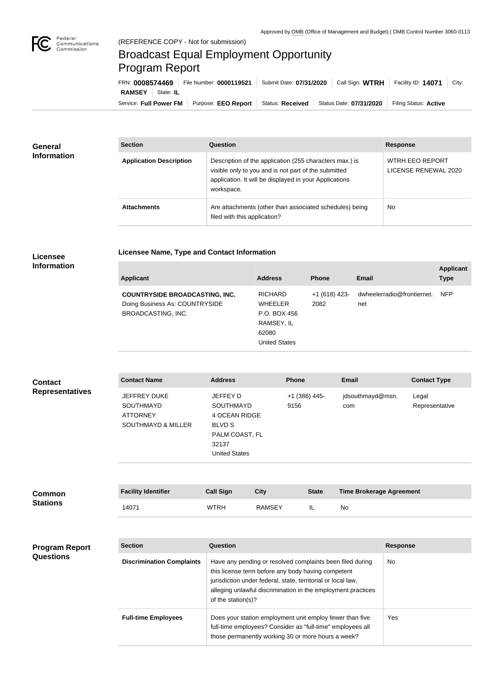

п

## Broadcast Equal Employment Opportunity Program Report

**Licensee Name, Type and Contact Information**

Service: Full Power FM Purpose: EEO Report | Status: Received | Status Date: 07/31/2020 | Filing Status: Active **RAMSEY** State: **IL** FRN: **0008574469** File Number: **0000119521** Submit Date: **07/31/2020** Call Sign: **WTRH** Facility ID: **14071** City:

| <b>General</b><br><b>Information</b> | <b>Section</b>                 | Question                                                                                                                                                                                | <b>Response</b>                         |
|--------------------------------------|--------------------------------|-----------------------------------------------------------------------------------------------------------------------------------------------------------------------------------------|-----------------------------------------|
|                                      | <b>Application Description</b> | Description of the application (255 characters max.) is<br>visible only to you and is not part of the submitted<br>application. It will be displayed in your Applications<br>workspace. | WTRH EEO REPORT<br>LICENSE RENEWAL 2020 |
|                                      | <b>Attachments</b>             | Are attachments (other than associated schedules) being<br>filed with this application?                                                                                                 | <b>No</b>                               |

## **Licensee Information**

| <b>Applicant</b>                                                                                     | <b>Address</b>                                                                                  | <b>Phone</b>           | <b>Email</b>                      | <b>Applicant</b><br><b>Type</b> |
|------------------------------------------------------------------------------------------------------|-------------------------------------------------------------------------------------------------|------------------------|-----------------------------------|---------------------------------|
| <b>COUNTRYSIDE BROADCASTING, INC.</b><br>Doing Business As: COUNTRYSIDE<br><b>BROADCASTING, INC.</b> | <b>RICHARD</b><br><b>WHEELER</b><br>P.O. BOX 456<br>RAMSEY, IL<br>62080<br><b>United States</b> | $+1(618)$ 423-<br>2082 | dwheelerradio@frontiernet.<br>net | <b>NFP</b>                      |

| <b>Contact</b>         | <b>Contact Name</b>                                                                         | <b>Address</b>                                                                                                    | <b>Phone</b>          | <b>Email</b>            | <b>Contact Type</b>     |
|------------------------|---------------------------------------------------------------------------------------------|-------------------------------------------------------------------------------------------------------------------|-----------------------|-------------------------|-------------------------|
| <b>Representatives</b> | <b>JEFFREY DUKE</b><br><b>SOUTHMAYD</b><br><b>ATTORNEY</b><br><b>SOUTHMAYD &amp; MILLER</b> | JEFFEY D<br><b>SOUTHMAYD</b><br>4 OCEAN RIDGE<br><b>BLVD S</b><br>PALM COAST, FL<br>32137<br><b>United States</b> | +1 (386) 445-<br>9156 | jdsouthmayd@msn.<br>com | Legal<br>Representative |

| <b>Common</b><br><b>Stations</b> | <b>Facility Identifier</b> | Call Sign   | City          | <b>State</b> | <b>Time Brokerage Agreement</b> |
|----------------------------------|----------------------------|-------------|---------------|--------------|---------------------------------|
|                                  | 14071                      | <b>WTRH</b> | <b>RAMSEY</b> |              | No                              |

| <b>Program Report</b><br><b>Questions</b> | <b>Section</b>                   | Question                                                                                                                                                                                                                                                              | <b>Response</b> |
|-------------------------------------------|----------------------------------|-----------------------------------------------------------------------------------------------------------------------------------------------------------------------------------------------------------------------------------------------------------------------|-----------------|
|                                           | <b>Discrimination Complaints</b> | Have any pending or resolved complaints been filed during<br>this license term before any body having competent<br>jurisdiction under federal, state, territorial or local law,<br>alleging unlawful discrimination in the employment practices<br>of the station(s)? | <b>No</b>       |
|                                           | <b>Full-time Employees</b>       | Does your station employment unit employ fewer than five<br>full-time employees? Consider as "full-time" employees all<br>those permanently working 30 or more hours a week?                                                                                          | Yes             |